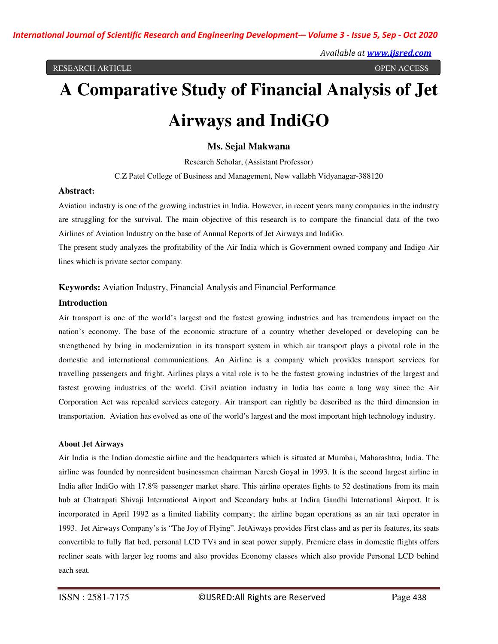# **A Comparative Study of Financial Analysis of Jet Airways and IndiGO**

## **Ms. Sejal Makwana**

Research Scholar, (Assistant Professor) C.Z Patel College of Business and Management, New vallabh Vidyanagar-388120

#### **Abstract:**

Aviation industry is one of the growing industries in India. However, in recent years many companies in the industry are struggling for the survival. The main objective of this research is to compare the financial data of the two Airlines of Aviation Industry on the base of Annual Reports of Jet Airways and IndiGo.

The present study analyzes the profitability of the Air India which is Government owned company and Indigo Air lines which is private sector company.

#### **Keywords:** Aviation Industry, Financial Analysis and Financial Performance

#### **Introduction**

Air transport is one of the world's largest and the fastest growing industries and has tremendous impact on the nation's economy. The base of the economic structure of a country whether developed or developing can be strengthened by bring in modernization in its transport system in which air transport plays a pivotal role in the domestic and international communications. An Airline is a company which provides transport services for travelling passengers and fright. Airlines plays a vital role is to be the fastest growing industries of the largest and fastest growing industries of the world. Civil aviation industry in India has come a long way since the Air Corporation Act was repealed services category. Air transport can rightly be described as the third dimension in transportation. Aviation has evolved as one of the world's largest and the most important high technology industry.

#### **About Jet Airways**

Air India is the Indian domestic airline and the headquarters which is situated at Mumbai, Maharashtra, India. The airline was founded by nonresident businessmen chairman Naresh Goyal in 1993. It is the second largest airline in India after IndiGo with 17.8% passenger market share. This airline operates fights to 52 destinations from its main hub at Chatrapati Shivaji International Airport and Secondary hubs at Indira Gandhi International Airport. It is incorporated in April 1992 as a limited liability company; the airline began operations as an air taxi operator in 1993. Jet Airways Company's is "The Joy of Flying". JetAiways provides First class and as per its features, its seats convertible to fully flat bed, personal LCD TVs and in seat power supply. Premiere class in domestic flights offers recliner seats with larger leg rooms and also provides Economy classes which also provide Personal LCD behind each seat.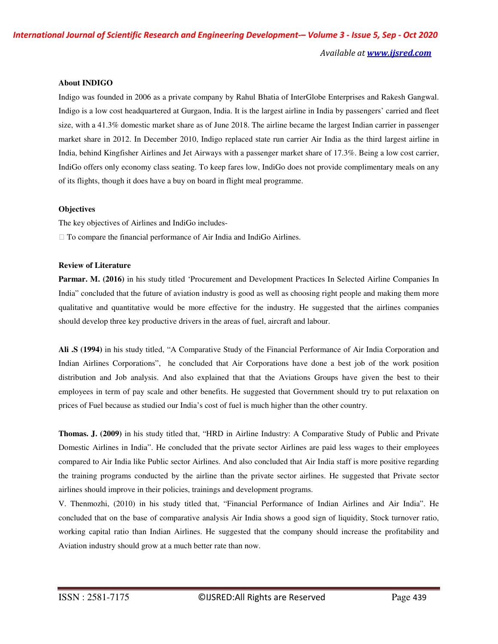#### **About INDIGO**

Indigo was founded in 2006 as a private company by Rahul Bhatia of InterGlobe Enterprises and Rakesh Gangwal. Indigo is a low cost headquartered at Gurgaon, India. It is the largest airline in India by passengers' carried and fleet size, with a 41.3% domestic market share as of June 2018. The airline became the largest Indian carrier in passenger market share in 2012. In December 2010, Indigo replaced state run carrier Air India as the third largest airline in India, behind Kingfisher Airlines and Jet Airways with a passenger market share of 17.3%. Being a low cost carrier, IndiGo offers only economy class seating. To keep fares low, IndiGo does not provide complimentary meals on any of its flights, though it does have a buy on board in flight meal programme.

#### **Objectives**

The key objectives of Airlines and IndiGo includes-

To compare the financial performance of Air India and IndiGo Airlines.

#### **Review of Literature**

**Parmar. M. (2016)** in his study titled 'Procurement and Development Practices In Selected Airline Companies In India" concluded that the future of aviation industry is good as well as choosing right people and making them more qualitative and quantitative would be more effective for the industry. He suggested that the airlines companies should develop three key productive drivers in the areas of fuel, aircraft and labour.

**Ali .S (1994)** in his study titled, "A Comparative Study of the Financial Performance of Air India Corporation and Indian Airlines Corporations", he concluded that Air Corporations have done a best job of the work position distribution and Job analysis. And also explained that that the Aviations Groups have given the best to their employees in term of pay scale and other benefits. He suggested that Government should try to put relaxation on prices of Fuel because as studied our India's cost of fuel is much higher than the other country.

**Thomas. J. (2009)** in his study titled that, "HRD in Airline Industry: A Comparative Study of Public and Private Domestic Airlines in India". He concluded that the private sector Airlines are paid less wages to their employees compared to Air India like Public sector Airlines. And also concluded that Air India staff is more positive regarding the training programs conducted by the airline than the private sector airlines. He suggested that Private sector airlines should improve in their policies, trainings and development programs.

V. Thenmozhi, (2010) in his study titled that, "Financial Performance of Indian Airlines and Air India". He concluded that on the base of comparative analysis Air India shows a good sign of liquidity, Stock turnover ratio, working capital ratio than Indian Airlines. He suggested that the company should increase the profitability and Aviation industry should grow at a much better rate than now.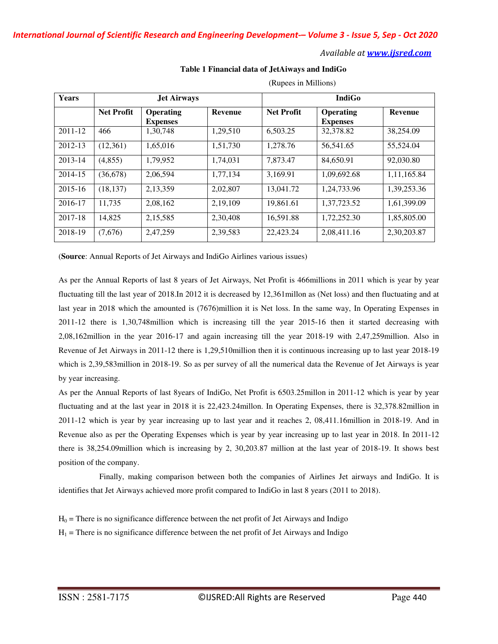#### *Available at www.ijsred.com*

**Table 1 Financial data of JetAiways and IndiGo** 

| <b>Years</b> | <b>Jet Airways</b> |                              |                | <b>IndiGo</b>     |                              |             |  |
|--------------|--------------------|------------------------------|----------------|-------------------|------------------------------|-------------|--|
|              | <b>Net Profit</b>  | Operating<br><b>Expenses</b> | <b>Revenue</b> | <b>Net Profit</b> | Operating<br><b>Expenses</b> | Revenue     |  |
| $2011 - 12$  | 466                | 1.30.748                     | 1.29.510       | 6.503.25          | 32,378.82                    | 38,254.09   |  |
| 2012-13      | (12,361)           | 1,65,016                     | 1,51,730       | 1,278.76          | 56,541.65                    | 55,524.04   |  |
| 2013-14      | (4, 855)           | 1.79.952                     | 1.74.031       | 7.873.47          | 84.650.91                    | 92,030.80   |  |
| 2014-15      | (36, 678)          | 2,06,594                     | 1,77,134       | 3,169.91          | 1,09,692.68                  | 1,11,165.84 |  |
| 2015-16      | (18, 137)          | 2,13,359                     | 2,02,807       | 13,041.72         | 1.24.733.96                  | 1,39,253.36 |  |
| 2016-17      | 11,735             | 2,08,162                     | 2,19,109       | 19,861.61         | 1,37,723.52                  | 1,61,399.09 |  |
| 2017-18      | 14,825             | 2,15,585                     | 2,30,408       | 16.591.88         | 1,72,252.30                  | 1,85,805.00 |  |
| 2018-19      | (7,676)            | 2,47,259                     | 2,39,583       | 22,423.24         | 2,08,411.16                  | 2,30,203.87 |  |

(Rupees in Millions)

(**Source**: Annual Reports of Jet Airways and IndiGo Airlines various issues)

As per the Annual Reports of last 8 years of Jet Airways, Net Profit is 466millions in 2011 which is year by year fluctuating till the last year of 2018.In 2012 it is decreased by 12,361millon as (Net loss) and then fluctuating and at last year in 2018 which the amounted is (7676)million it is Net loss. In the same way, In Operating Expenses in 2011-12 there is 1,30,748million which is increasing till the year 2015-16 then it started decreasing with 2,08,162million in the year 2016-17 and again increasing till the year 2018-19 with 2,47,259million. Also in Revenue of Jet Airways in 2011-12 there is 1,29,510million then it is continuous increasing up to last year 2018-19 which is 2,39,583million in 2018-19. So as per survey of all the numerical data the Revenue of Jet Airways is year by year increasing.

As per the Annual Reports of last 8years of IndiGo, Net Profit is 6503.25millon in 2011-12 which is year by year fluctuating and at the last year in 2018 it is 22,423.24millon. In Operating Expenses, there is 32,378.82million in 2011-12 which is year by year increasing up to last year and it reaches 2, 08,411.16million in 2018-19. And in Revenue also as per the Operating Expenses which is year by year increasing up to last year in 2018. In 2011-12 there is 38,254.09million which is increasing by 2, 30,203.87 million at the last year of 2018-19. It shows best position of the company.

 Finally, making comparison between both the companies of Airlines Jet airways and IndiGo. It is identifies that Jet Airways achieved more profit compared to IndiGo in last 8 years (2011 to 2018).

 $H_0$  = There is no significance difference between the net profit of Jet Airways and Indigo

 $H_1$  = There is no significance difference between the net profit of Jet Airways and Indigo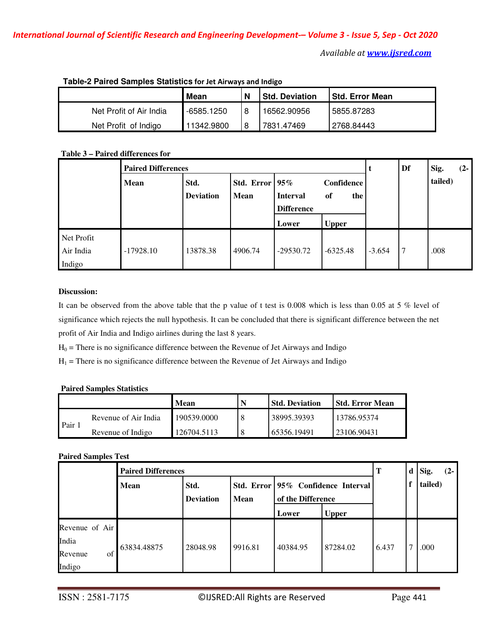|                         | Mean       |  | <b>Std. Deviation</b> | <b>Std. Error Mean</b> |  |  |  |  |
|-------------------------|------------|--|-----------------------|------------------------|--|--|--|--|
| Net Profit of Air India | -6585.1250 |  | 16562.90956           | 5855.87283             |  |  |  |  |
| Net Profit of Indigo    | 11342.9800 |  | 7831.47469            | 2768.84443             |  |  |  |  |

# **Table-2 Paired Samples Statistics for Jet Airways and Indigo**

# **Table 3 – Paired differences for**

|                                   | <b>Paired Differences</b> |                          |                                    |                                      |                         |          | Df | Sig.<br>$(2-$ |
|-----------------------------------|---------------------------|--------------------------|------------------------------------|--------------------------------------|-------------------------|----------|----|---------------|
|                                   | <b>Mean</b>               | Std.<br><b>Deviation</b> | Std. Error   $95\%$<br><b>Mean</b> | <b>Interval</b><br><b>Difference</b> | Confidence<br>the<br>of |          |    | tailed)       |
|                                   |                           |                          |                                    | Lower                                | <b>Upper</b>            |          |    |               |
| Net Profit<br>Air India<br>Indigo | $-17928.10$               | 13878.38                 | 4906.74                            | $-29530.72$                          | $-6325.48$              | $-3.654$ | 7  | .008          |

## **Discussion:**

It can be observed from the above table that the p value of t test is 0.008 which is less than 0.05 at 5 % level of significance which rejects the null hypothesis. It can be concluded that there is significant difference between the net profit of Air India and Indigo airlines during the last 8 years.

 $H_0$  = There is no significance difference between the Revenue of Jet Airways and Indigo

 $H_1$  = There is no significance difference between the Revenue of Jet Airways and Indigo

#### **Paired Samples Statistics**

|      |                      | <b>Mean</b> | <b>Std. Deviation</b> | l Std. Error Mean |
|------|----------------------|-------------|-----------------------|-------------------|
| Pair | Revenue of Air India | 190539.0000 | 38995.39393           | 13786.95374       |
|      | Revenue of Indigo    | 126704.5113 | 65356.19491           | 23106.90431       |

## **Paired Samples Test**

|                | <b>Paired Differences</b> |                          |             |                                                         |              |       | d <sub>1</sub> | Sig.    | $(2-1)$ |
|----------------|---------------------------|--------------------------|-------------|---------------------------------------------------------|--------------|-------|----------------|---------|---------|
|                | <b>Mean</b>               | Std.<br><b>Deviation</b> | <b>Mean</b> | Std. Error 95% Confidence Interval<br>of the Difference |              |       | f              | tailed) |         |
|                |                           |                          |             | Lower                                                   | <b>Upper</b> |       |                |         |         |
| Revenue of Air |                           |                          |             |                                                         |              |       |                |         |         |
| India          |                           |                          |             |                                                         |              |       |                |         |         |
| Revenue<br>of  | 63834.48875               | 28048.98                 | 9916.81     | 40384.95                                                | 87284.02     | 6.437 |                | .000    |         |
| Indigo         |                           |                          |             |                                                         |              |       |                |         |         |